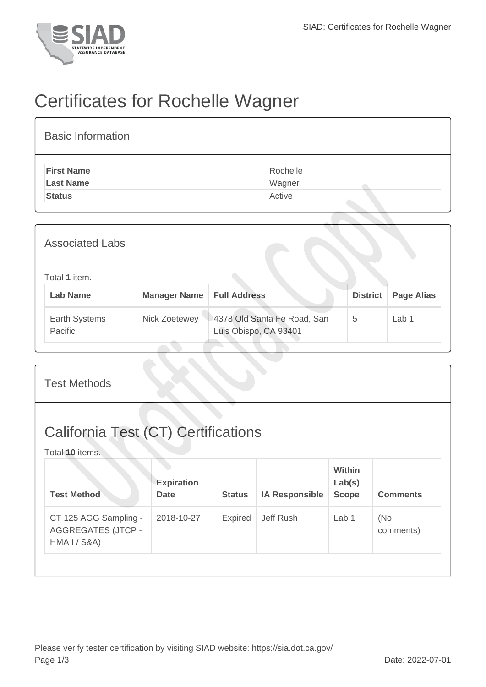

## Certificates for Rochelle Wagner

| <b>Basic Information</b> |          |
|--------------------------|----------|
| <b>First Name</b>        | Rochelle |
| <b>Last Name</b>         | Wagner   |
| <b>Status</b>            | Active   |
|                          |          |

| <b>Associated Labs</b>           |                     |                                                      |                 |                   |  |  |
|----------------------------------|---------------------|------------------------------------------------------|-----------------|-------------------|--|--|
| Total 1 item.<br><b>Lab Name</b> | <b>Manager Name</b> | <b>Full Address</b>                                  | <b>District</b> | <b>Page Alias</b> |  |  |
| Earth Systems<br>Pacific         | Nick Zoetewey       | 4378 Old Santa Fe Road, San<br>Luis Obispo, CA 93401 | 5               | Lab 1             |  |  |

| <b>Test Methods</b>                                           |                |                       |                                         |                  |  |  |
|---------------------------------------------------------------|----------------|-----------------------|-----------------------------------------|------------------|--|--|
| <b>California Test (CT) Certifications</b><br>Total 10 items. |                |                       |                                         |                  |  |  |
| <b>Expiration</b><br><b>Date</b>                              | <b>Status</b>  | <b>IA Responsible</b> | <b>Within</b><br>Lab(s)<br><b>Scope</b> | <b>Comments</b>  |  |  |
| 2018-10-27                                                    | <b>Expired</b> | Jeff Rush             | Lab 1                                   | (No<br>comments) |  |  |
|                                                               |                |                       |                                         |                  |  |  |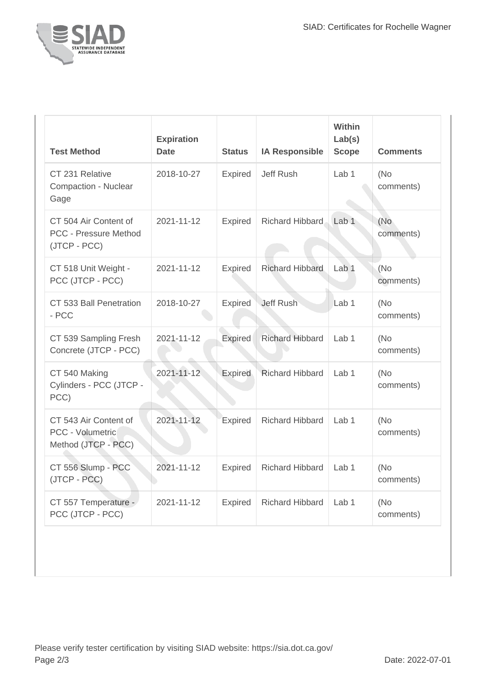

| <b>Test Method</b>                                                    | <b>Expiration</b><br><b>Date</b> | <b>Status</b>  | <b>IA Responsible</b>  | Within<br>Lab(s)<br><b>Scope</b> | <b>Comments</b>  |
|-----------------------------------------------------------------------|----------------------------------|----------------|------------------------|----------------------------------|------------------|
| CT 231 Relative<br><b>Compaction - Nuclear</b><br>Gage                | 2018-10-27                       | <b>Expired</b> | Jeff Rush              | Lab <sub>1</sub>                 | (No<br>comments) |
| CT 504 Air Content of<br><b>PCC - Pressure Method</b><br>(JTCP - PCC) | 2021-11-12                       | <b>Expired</b> | Richard Hibbard        | Lab <sub>1</sub>                 | (No<br>comments) |
| CT 518 Unit Weight -<br>PCC (JTCP - PCC)                              | 2021-11-12                       | Expired        | <b>Richard Hibbard</b> | Lab <sub>1</sub>                 | (No<br>comments) |
| CT 533 Ball Penetration<br>- PCC                                      | 2018-10-27                       | Expired        | <b>Jeff Rush</b>       | Lab <sub>1</sub>                 | (No<br>comments) |
| CT 539 Sampling Fresh<br>Concrete (JTCP - PCC)                        | 2021-11-12                       | <b>Expired</b> | <b>Richard Hibbard</b> | Lab <sub>1</sub>                 | (No<br>comments) |
| CT 540 Making<br>Cylinders - PCC (JTCP -<br>PCC)                      | 2021-11-12                       | Expired        | <b>Richard Hibbard</b> | Lab <sub>1</sub>                 | (No<br>comments) |
| CT 543 Air Content of<br>PCC - Volumetric<br>Method (JTCP - PCC)      | $2021 - 11 - 12$                 | Expired        | <b>Richard Hibbard</b> | Lab <sub>1</sub>                 | (No<br>comments) |
| CT 556 Slump - PCC<br>(JTCP - PCC)                                    | 2021-11-12                       | <b>Expired</b> | <b>Richard Hibbard</b> | Lab <sub>1</sub>                 | (No<br>comments) |
| CT 557 Temperature -<br>PCC (JTCP - PCC)                              | 2021-11-12                       | <b>Expired</b> | <b>Richard Hibbard</b> | Lab <sub>1</sub>                 | (No<br>comments) |